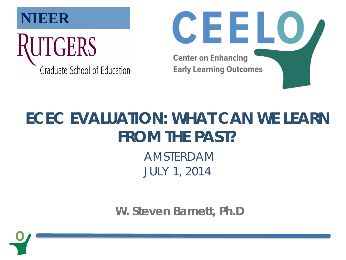



#### **ECEC EVALUATION: WHAT CAN WE LEARN FROM THE PAST?**

AMSTERDAM JULY 1, 2014

**W. Steven Barnett, Ph.D**

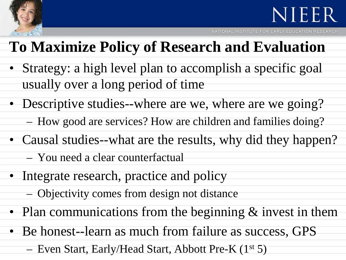

NATIONAL INSTITUTE FOR EARLY EDUCATION RESEARCH

#### **To Maximize Policy of Research and Evaluation**

- Strategy: a high level plan to accomplish a specific goal usually over a long period of time
- Descriptive studies--where are we, where are we going? – How good are services? How are children and families doing?
- Causal studies--what are the results, why did they happen?
	- You need a clear counterfactual
- Integrate research, practice and policy
	- Objectivity comes from design not distance
- Plan communications from the beginning & invest in them
- Be honest--learn as much from failure as success, GPS
	- Even Start, Early/Head Start, Abbott Pre-K (1st 5)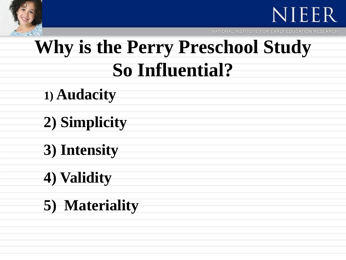

NATIONAL INSTITUTE FOR EARLY EDUCATION RESEARCH

### **Why is the Perry Preschool Study So Influential?**

- **1) Audacity**
- **2) Simplicity**
- **3) Intensity**
- **4) Validity**
- **5) Materiality**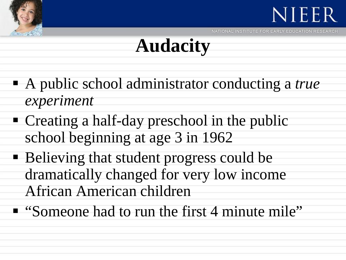



## **Audacity**

- A public school administrator conducting a *true experiment*
- Creating a half-day preschool in the public school beginning at age 3 in 1962
- Believing that student progress could be dramatically changed for very low income African American children
- "Someone had to run the first 4 minute mile"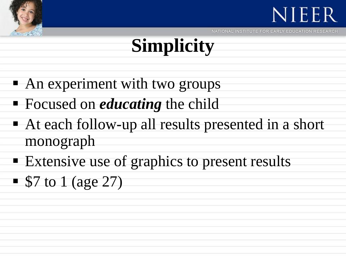



# **Simplicity**

- An experiment with two groups
- **Focused on** *educating* the child
- At each follow-up all results presented in a short monograph
- **Extensive use of graphics to present results**
- $\blacksquare$  \$7 to 1 (age 27)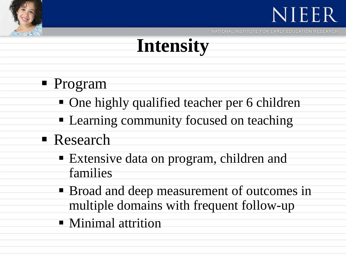



### **Intensity**

- Program
	- One highly qualified teacher per 6 children
	- **Learning community focused on teaching**
- Research
	- Extensive data on program, children and families
	- **Broad and deep measurement of outcomes in** multiple domains with frequent follow-up
	- **Ninimal attrition**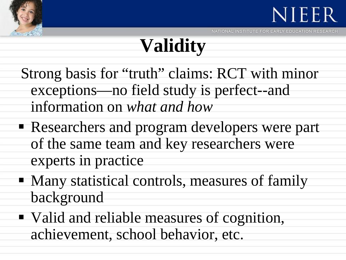



## **Validity**

- Strong basis for "truth" claims: RCT with minor exceptions—no field study is perfect--and information on *what and how*
- Researchers and program developers were part of the same team and key researchers were experts in practice
- Many statistical controls, measures of family background
- Valid and reliable measures of cognition, achievement, school behavior, etc.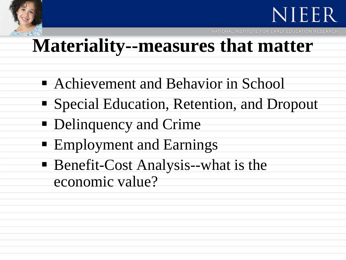

NATIONAL INSTITUTE FOR EARLY EDUCATION RESEARCH

### **Materiality--measures that matter**

- Achievement and Behavior in School
- Special Education, Retention, and Dropout
- **-** Delinquency and Crime
- **Employment and Earnings**
- Benefit-Cost Analysis--what is the economic value?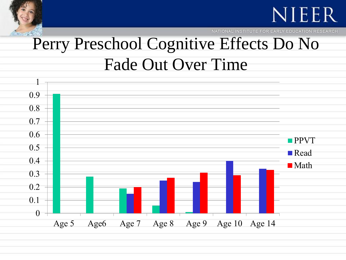

NATIONAL INSTITUTE FOR EARLY EDUCATION RESEARCH

#### Perry Preschool Cognitive Effects Do No Fade Out Over Time

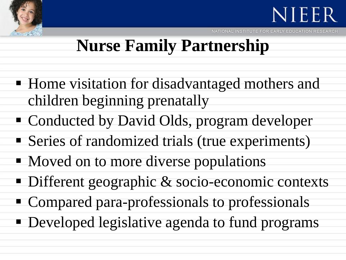

### **Nurse Family Partnership**

- **Home visitation for disadvantaged mothers and** children beginning prenatally
- Conducted by David Olds, program developer
- Series of randomized trials (true experiments)
- Moved on to more diverse populations
- Different geographic & socio-economic contexts
- Compared para-professionals to professionals
- **Developed legislative agenda to fund programs**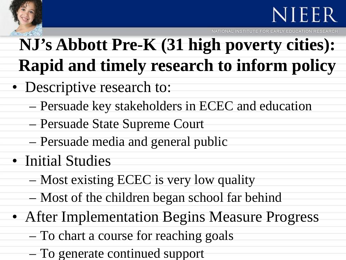

NATIONAL INSTITUTE FOR EARLY EDUCATION

### **NJ's Abbott Pre-K (31 high poverty cities): Rapid and timely research to inform policy**

- Descriptive research to:
	- Persuade key stakeholders in ECEC and education
	- Persuade State Supreme Court
	- Persuade media and general public
- Initial Studies
	- Most existing ECEC is very low quality
	- Most of the children began school far behind
- After Implementation Begins Measure Progress
	- To chart a course for reaching goals
	- To generate continued support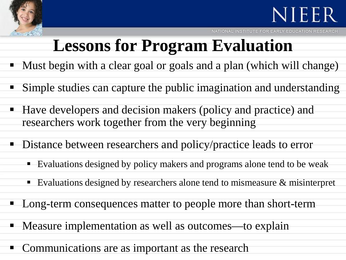

NATIONAL INSTITUTE FOR EARLY EDUCATION RESEARCH

#### **Lessons for Program Evaluation**

- Must begin with a clear goal or goals and a plan (which will change)
- Simple studies can capture the public imagination and understanding
- Have developers and decision makers (policy and practice) and researchers work together from the very beginning
- Distance between researchers and policy/practice leads to error
	- Evaluations designed by policy makers and programs alone tend to be weak
	- Evaluations designed by researchers alone tend to mismeasure & misinterpret
- Long-term consequences matter to people more than short-term
- **Measure implementation as well as outcomes—to explain**
- Communications are as important as the research